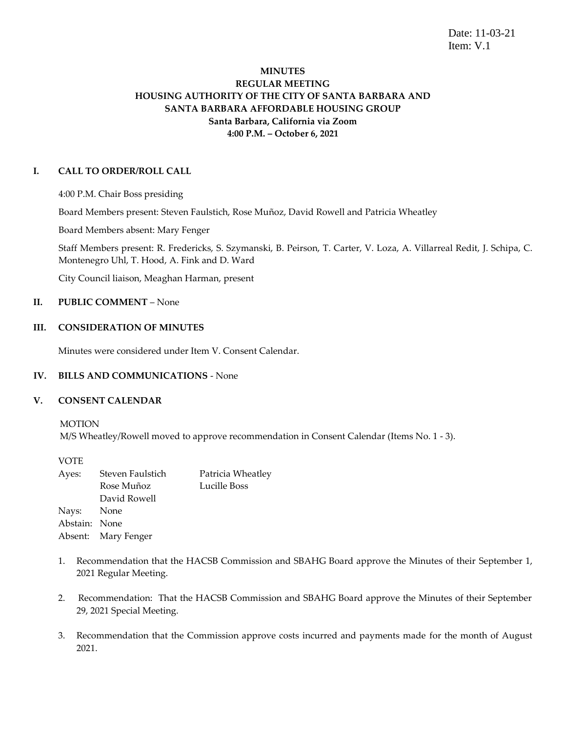Date: 11-03-21 Item: V.1

# **MINUTES REGULAR MEETING HOUSING AUTHORITY OF THE CITY OF SANTA BARBARA AND SANTA BARBARA AFFORDABLE HOUSING GROUP Santa Barbara, California via Zoom 4:00 P.M. – October 6, 2021**

### **I. CALL TO ORDER/ROLL CALL**

4:00 P.M. Chair Boss presiding

Board Members present: Steven Faulstich, Rose Muñoz, David Rowell and Patricia Wheatley

Board Members absent: Mary Fenger

Staff Members present: R. Fredericks, S. Szymanski, B. Peirson, T. Carter, V. Loza, A. Villarreal Redit, J. Schipa, C. Montenegro Uhl, T. Hood, A. Fink and D. Ward

City Council liaison, Meaghan Harman, present

## **II. PUBLIC COMMENT** – None

### **III. CONSIDERATION OF MINUTES**

Minutes were considered under Item V. Consent Calendar.

#### **IV. BILLS AND COMMUNICATIONS** - None

#### **V. CONSENT CALENDAR**

MOTION

M/S Wheatley/Rowell moved to approve recommendation in Consent Calendar (Items No. 1 - 3).

VOTE

| Ayes:         | Steven Faulstich    | Patricia Wheatley |
|---------------|---------------------|-------------------|
|               | Rose Muñoz          | Lucille Boss      |
|               | David Rowell        |                   |
| Nays: None    |                     |                   |
| Abstain: None |                     |                   |
|               | Absent: Mary Fenger |                   |
|               |                     |                   |

- 1. Recommendation that the HACSB Commission and SBAHG Board approve the Minutes of their September 1, 2021 Regular Meeting.
- 2. Recommendation: That the HACSB Commission and SBAHG Board approve the Minutes of their September 29, 2021 Special Meeting.
- 3. Recommendation that the Commission approve costs incurred and payments made for the month of August 2021.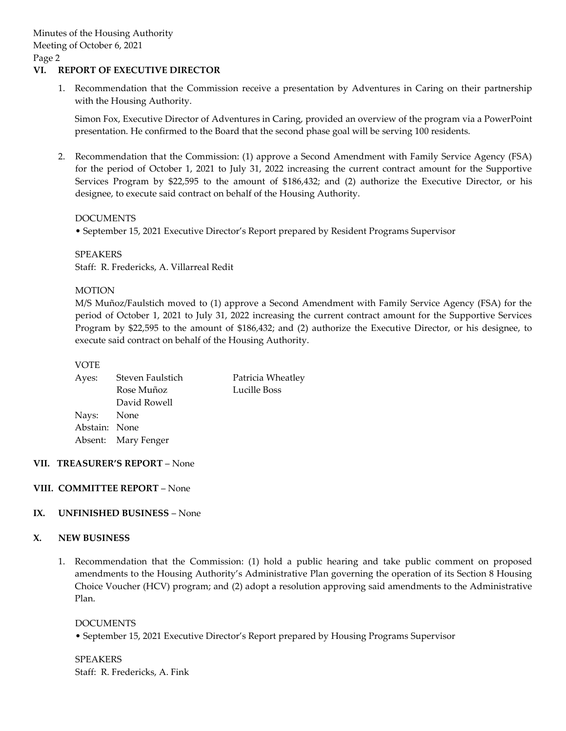### **VI. REPORT OF EXECUTIVE DIRECTOR**

1. Recommendation that the Commission receive a presentation by Adventures in Caring on their partnership with the Housing Authority.

Simon Fox, Executive Director of Adventures in Caring, provided an overview of the program via a PowerPoint presentation. He confirmed to the Board that the second phase goal will be serving 100 residents.

2. Recommendation that the Commission: (1) approve a Second Amendment with Family Service Agency (FSA) for the period of October 1, 2021 to July 31, 2022 increasing the current contract amount for the Supportive Services Program by \$22,595 to the amount of \$186,432; and (2) authorize the Executive Director, or his designee, to execute said contract on behalf of the Housing Authority.

### DOCUMENTS

• September 15, 2021 Executive Director's Report prepared by Resident Programs Supervisor

### SPEAKERS Staff: R. Fredericks, A. Villarreal Redit

### MOTION

M/S Muñoz/Faulstich moved to (1) approve a Second Amendment with Family Service Agency (FSA) for the period of October 1, 2021 to July 31, 2022 increasing the current contract amount for the Supportive Services Program by \$22,595 to the amount of \$186,432; and (2) authorize the Executive Director, or his designee, to execute said contract on behalf of the Housing Authority.

#### VOTE

| Steven Faulstich    | Patricia Wheatley |
|---------------------|-------------------|
| Rose Muñoz          | Lucille Boss      |
| David Rowell        |                   |
| Nays: None          |                   |
| Abstain: None       |                   |
| Absent: Mary Fenger |                   |
|                     |                   |

## **VII. TREASURER'S REPORT** – None

## **VIII. COMMITTEE REPORT** – None

## **IX. UNFINISHED BUSINESS** – None

## **X. NEW BUSINESS**

1. Recommendation that the Commission: (1) hold a public hearing and take public comment on proposed amendments to the Housing Authority's Administrative Plan governing the operation of its Section 8 Housing Choice Voucher (HCV) program; and (2) adopt a resolution approving said amendments to the Administrative Plan.

#### DOCUMENTS

• September 15, 2021 Executive Director's Report prepared by Housing Programs Supervisor

SPEAKERS Staff: R. Fredericks, A. Fink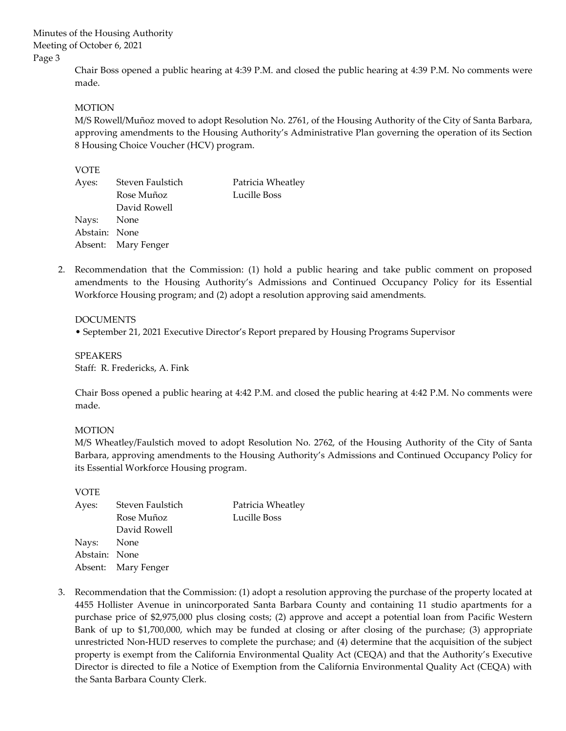> Chair Boss opened a public hearing at 4:39 P.M. and closed the public hearing at 4:39 P.M. No comments were made.

### MOTION

M/S Rowell/Muñoz moved to adopt Resolution No. 2761, of the Housing Authority of the City of Santa Barbara, approving amendments to the Housing Authority's Administrative Plan governing the operation of its Section 8 Housing Choice Voucher (HCV) program.

### VOTE

|              | Patricia Wheatley                                                      |
|--------------|------------------------------------------------------------------------|
| Rose Muñoz   | Lucille Boss                                                           |
| David Rowell |                                                                        |
|              |                                                                        |
|              |                                                                        |
|              |                                                                        |
|              | Steven Faulstich<br>Nays: None<br>Abstain: None<br>Absent: Mary Fenger |

2. Recommendation that the Commission: (1) hold a public hearing and take public comment on proposed amendments to the Housing Authority's Admissions and Continued Occupancy Policy for its Essential Workforce Housing program; and (2) adopt a resolution approving said amendments.

#### DOCUMENTS

• September 21, 2021 Executive Director's Report prepared by Housing Programs Supervisor

SPEAKERS Staff: R. Fredericks, A. Fink

Chair Boss opened a public hearing at 4:42 P.M. and closed the public hearing at 4:42 P.M. No comments were made.

#### MOTION

M/S Wheatley/Faulstich moved to adopt Resolution No. 2762, of the Housing Authority of the City of Santa Barbara, approving amendments to the Housing Authority's Admissions and Continued Occupancy Policy for its Essential Workforce Housing program.

VOTE

| Ayes:         | Steven Faulstich    | Patricia Wheatley |
|---------------|---------------------|-------------------|
|               | Rose Muñoz          | Lucille Boss      |
|               | David Rowell        |                   |
| Nays: None    |                     |                   |
| Abstain: None |                     |                   |
|               | Absent: Mary Fenger |                   |

3. Recommendation that the Commission: (1) adopt a resolution approving the purchase of the property located at 4455 Hollister Avenue in unincorporated Santa Barbara County and containing 11 studio apartments for a purchase price of \$2,975,000 plus closing costs; (2) approve and accept a potential loan from Pacific Western Bank of up to \$1,700,000, which may be funded at closing or after closing of the purchase; (3) appropriate unrestricted Non-HUD reserves to complete the purchase; and (4) determine that the acquisition of the subject property is exempt from the California Environmental Quality Act (CEQA) and that the Authority's Executive Director is directed to file a Notice of Exemption from the California Environmental Quality Act (CEQA) with the Santa Barbara County Clerk.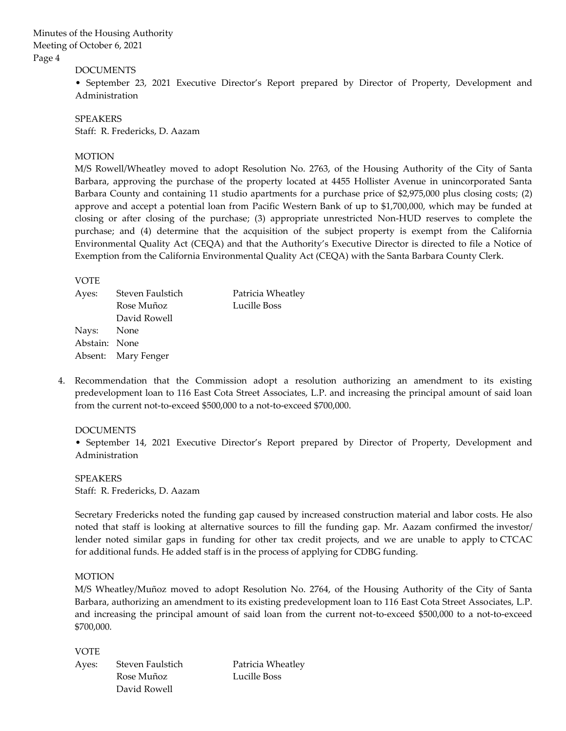#### DOCUMENTS

• September 23, 2021 Executive Director's Report prepared by Director of Property, Development and Administration

SPEAKERS Staff: R. Fredericks, D. Aazam

#### **MOTION**

M/S Rowell/Wheatley moved to adopt Resolution No. 2763, of the Housing Authority of the City of Santa Barbara, approving the purchase of the property located at 4455 Hollister Avenue in unincorporated Santa Barbara County and containing 11 studio apartments for a purchase price of \$2,975,000 plus closing costs; (2) approve and accept a potential loan from Pacific Western Bank of up to \$1,700,000, which may be funded at closing or after closing of the purchase; (3) appropriate unrestricted Non-HUD reserves to complete the purchase; and (4) determine that the acquisition of the subject property is exempt from the California Environmental Quality Act (CEQA) and that the Authority's Executive Director is directed to file a Notice of Exemption from the California Environmental Quality Act (CEQA) with the Santa Barbara County Clerk.

#### VOTE

| Ayes:         | Steven Faulstich    | Patricia Wheatley |
|---------------|---------------------|-------------------|
|               | Rose Muñoz          | Lucille Boss      |
|               | David Rowell        |                   |
| Nays: None    |                     |                   |
| Abstain: None |                     |                   |
|               | Absent: Mary Fenger |                   |
|               |                     |                   |

4. Recommendation that the Commission adopt a resolution authorizing an amendment to its existing predevelopment loan to 116 East Cota Street Associates, L.P. and increasing the principal amount of said loan from the current not-to-exceed \$500,000 to a not-to-exceed \$700,000.

#### DOCUMENTS

• September 14, 2021 Executive Director's Report prepared by Director of Property, Development and Administration

SPEAKERS Staff: R. Fredericks, D. Aazam

Secretary Fredericks noted the funding gap caused by increased construction material and labor costs. He also noted that staff is looking at alternative sources to fill the funding gap. Mr. Aazam confirmed the investor/ lender noted similar gaps in funding for other tax credit projects, and we are unable to apply to CTCAC for additional funds. He added staff is in the process of applying for CDBG funding.

#### MOTION

M/S Wheatley/Muñoz moved to adopt Resolution No. 2764, of the Housing Authority of the City of Santa Barbara, authorizing an amendment to its existing predevelopment loan to 116 East Cota Street Associates, L.P. and increasing the principal amount of said loan from the current not-to-exceed \$500,000 to a not-to-exceed \$700,000.

#### VOTE

Ayes: Steven Faulstich Patricia Wheatley Rose Muñoz Lucille Boss David Rowell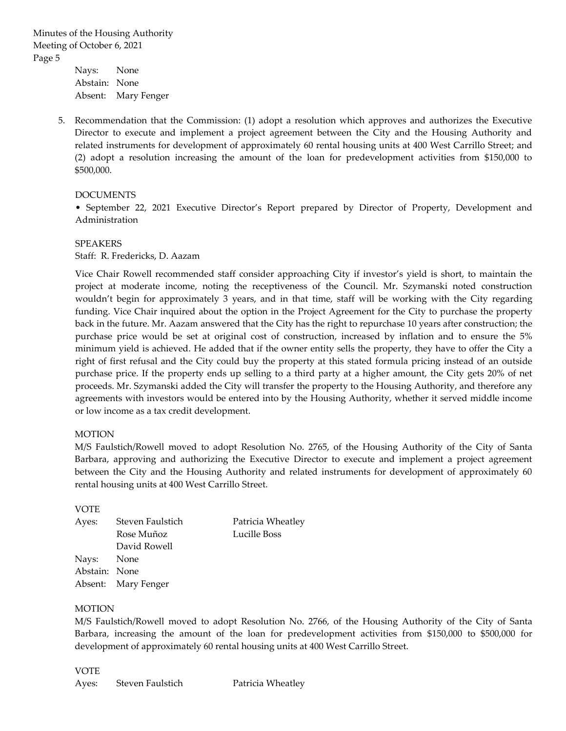Nays: None Abstain: None Absent: Mary Fenger

5. Recommendation that the Commission: (1) adopt a resolution which approves and authorizes the Executive Director to execute and implement a project agreement between the City and the Housing Authority and related instruments for development of approximately 60 rental housing units at 400 West Carrillo Street; and (2) adopt a resolution increasing the amount of the loan for predevelopment activities from \$150,000 to \$500,000.

## DOCUMENTS

• September 22, 2021 Executive Director's Report prepared by Director of Property, Development and Administration

#### SPEAKERS

Staff: R. Fredericks, D. Aazam

Vice Chair Rowell recommended staff consider approaching City if investor's yield is short, to maintain the project at moderate income, noting the receptiveness of the Council. Mr. Szymanski noted construction wouldn't begin for approximately 3 years, and in that time, staff will be working with the City regarding funding. Vice Chair inquired about the option in the Project Agreement for the City to purchase the property back in the future. Mr. Aazam answered that the City has the right to repurchase 10 years after construction; the purchase price would be set at original cost of construction, increased by inflation and to ensure the 5% minimum yield is achieved. He added that if the owner entity sells the property, they have to offer the City a right of first refusal and the City could buy the property at this stated formula pricing instead of an outside purchase price. If the property ends up selling to a third party at a higher amount, the City gets 20% of net proceeds. Mr. Szymanski added the City will transfer the property to the Housing Authority, and therefore any agreements with investors would be entered into by the Housing Authority, whether it served middle income or low income as a tax credit development.

#### MOTION

M/S Faulstich/Rowell moved to adopt Resolution No. 2765, of the Housing Authority of the City of Santa Barbara, approving and authorizing the Executive Director to execute and implement a project agreement between the City and the Housing Authority and related instruments for development of approximately 60 rental housing units at 400 West Carrillo Street.

#### VOTE

| Ayes:         | Steven Faulstich    | Patricia Wheatley |
|---------------|---------------------|-------------------|
|               | Rose Muñoz          | Lucille Boss      |
|               | David Rowell        |                   |
| Nays: None    |                     |                   |
| Abstain: None |                     |                   |
|               | Absent: Mary Fenger |                   |
|               |                     |                   |

#### MOTION

M/S Faulstich/Rowell moved to adopt Resolution No. 2766, of the Housing Authority of the City of Santa Barbara, increasing the amount of the loan for predevelopment activities from \$150,000 to \$500,000 for development of approximately 60 rental housing units at 400 West Carrillo Street.

#### VOTE